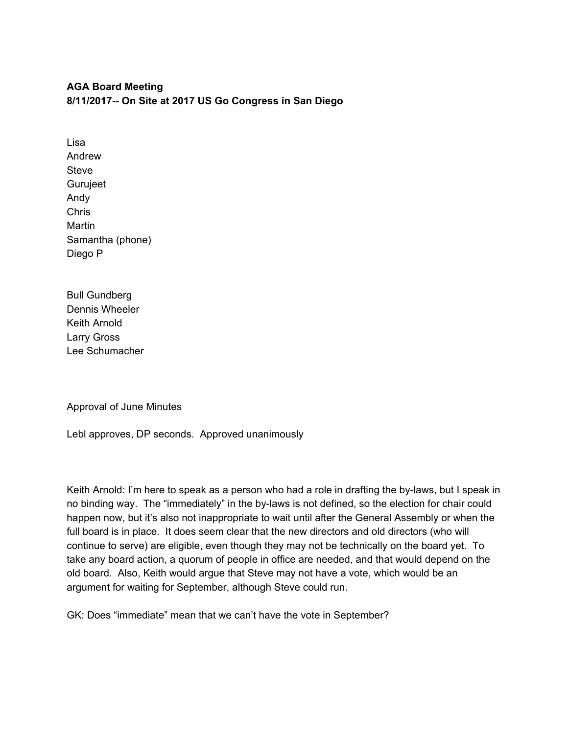## **AGA Board Meeting 8/11/2017-- On Site at 2017 US Go Congress in San Diego**

Lisa Andrew **Steve** Gurujeet Andy Chris Martin Samantha (phone) Diego P

Bull Gundberg Dennis Wheeler Keith Arnold Larry Gross Lee Schumacher

Approval of June Minutes

Lebl approves, DP seconds. Approved unanimously

Keith Arnold: I'm here to speak as a person who had a role in drafting the by-laws, but I speak in no binding way. The "immediately" in the by-laws is not defined, so the election for chair could happen now, but it's also not inappropriate to wait until after the General Assembly or when the full board is in place. It does seem clear that the new directors and old directors (who will continue to serve) are eligible, even though they may not be technically on the board yet. To take any board action, a quorum of people in office are needed, and that would depend on the old board. Also, Keith would argue that Steve may not have a vote, which would be an argument for waiting for September, although Steve could run.

GK: Does "immediate" mean that we can't have the vote in September?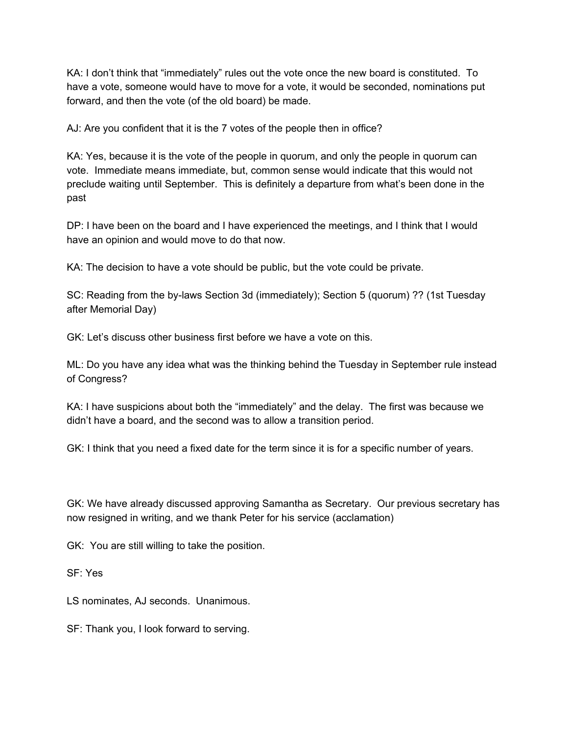KA: I don't think that "immediately" rules out the vote once the new board is constituted. To have a vote, someone would have to move for a vote, it would be seconded, nominations put forward, and then the vote (of the old board) be made.

AJ: Are you confident that it is the 7 votes of the people then in office?

KA: Yes, because it is the vote of the people in quorum, and only the people in quorum can vote. Immediate means immediate, but, common sense would indicate that this would not preclude waiting until September. This is definitely a departure from what's been done in the past

DP: I have been on the board and I have experienced the meetings, and I think that I would have an opinion and would move to do that now.

KA: The decision to have a vote should be public, but the vote could be private.

SC: Reading from the by-laws Section 3d (immediately); Section 5 (quorum) ?? (1st Tuesday after Memorial Day)

GK: Let's discuss other business first before we have a vote on this.

ML: Do you have any idea what was the thinking behind the Tuesday in September rule instead of Congress?

KA: I have suspicions about both the "immediately" and the delay. The first was because we didn't have a board, and the second was to allow a transition period.

GK: I think that you need a fixed date for the term since it is for a specific number of years.

GK: We have already discussed approving Samantha as Secretary. Our previous secretary has now resigned in writing, and we thank Peter for his service (acclamation)

GK: You are still willing to take the position.

SF: Yes

LS nominates, AJ seconds. Unanimous.

SF: Thank you, I look forward to serving.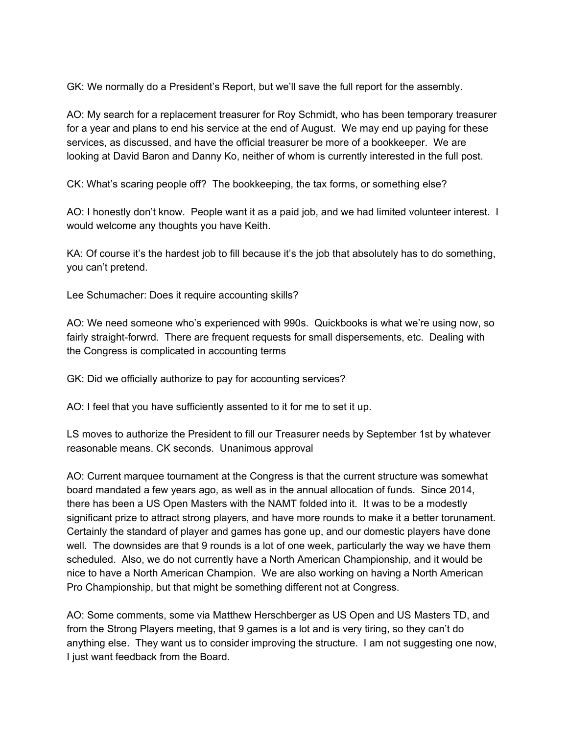GK: We normally do a President's Report, but we'll save the full report for the assembly.

AO: My search for a replacement treasurer for Roy Schmidt, who has been temporary treasurer for a year and plans to end his service at the end of August. We may end up paying for these services, as discussed, and have the official treasurer be more of a bookkeeper. We are looking at David Baron and Danny Ko, neither of whom is currently interested in the full post.

CK: What's scaring people off? The bookkeeping, the tax forms, or something else?

AO: I honestly don't know. People want it as a paid job, and we had limited volunteer interest. I would welcome any thoughts you have Keith.

KA: Of course it's the hardest job to fill because it's the job that absolutely has to do something, you can't pretend.

Lee Schumacher: Does it require accounting skills?

AO: We need someone who's experienced with 990s. Quickbooks is what we're using now, so fairly straight-forwrd. There are frequent requests for small dispersements, etc. Dealing with the Congress is complicated in accounting terms

GK: Did we officially authorize to pay for accounting services?

AO: I feel that you have sufficiently assented to it for me to set it up.

LS moves to authorize the President to fill our Treasurer needs by September 1st by whatever reasonable means. CK seconds. Unanimous approval

AO: Current marquee tournament at the Congress is that the current structure was somewhat board mandated a few years ago, as well as in the annual allocation of funds. Since 2014, there has been a US Open Masters with the NAMT folded into it. It was to be a modestly significant prize to attract strong players, and have more rounds to make it a better torunament. Certainly the standard of player and games has gone up, and our domestic players have done well. The downsides are that 9 rounds is a lot of one week, particularly the way we have them scheduled. Also, we do not currently have a North American Championship, and it would be nice to have a North American Champion. We are also working on having a North American Pro Championship, but that might be something different not at Congress.

AO: Some comments, some via Matthew Herschberger as US Open and US Masters TD, and from the Strong Players meeting, that 9 games is a lot and is very tiring, so they can't do anything else. They want us to consider improving the structure. I am not suggesting one now, I just want feedback from the Board.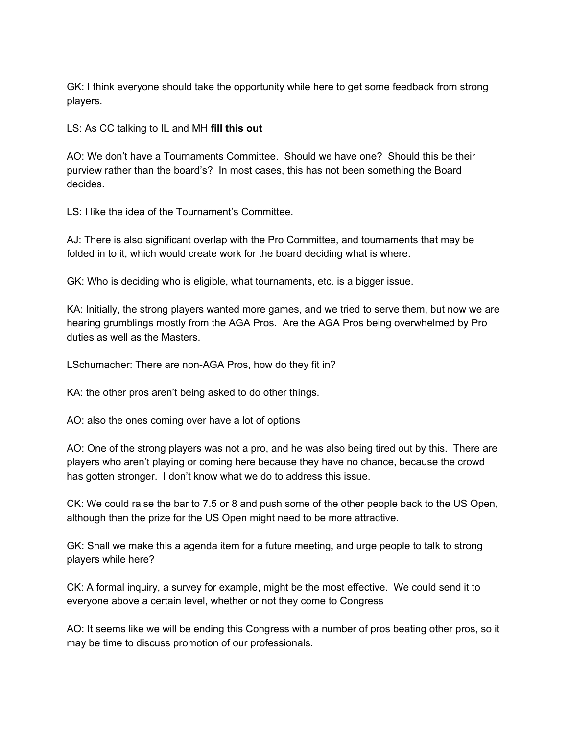GK: I think everyone should take the opportunity while here to get some feedback from strong players.

LS: As CC talking to IL and MH **fill this out**

AO: We don't have a Tournaments Committee. Should we have one? Should this be their purview rather than the board's? In most cases, this has not been something the Board decides.

LS: I like the idea of the Tournament's Committee.

AJ: There is also significant overlap with the Pro Committee, and tournaments that may be folded in to it, which would create work for the board deciding what is where.

GK: Who is deciding who is eligible, what tournaments, etc. is a bigger issue.

KA: Initially, the strong players wanted more games, and we tried to serve them, but now we are hearing grumblings mostly from the AGA Pros. Are the AGA Pros being overwhelmed by Pro duties as well as the Masters.

LSchumacher: There are non-AGA Pros, how do they fit in?

KA: the other pros aren't being asked to do other things.

AO: also the ones coming over have a lot of options

AO: One of the strong players was not a pro, and he was also being tired out by this. There are players who aren't playing or coming here because they have no chance, because the crowd has gotten stronger. I don't know what we do to address this issue.

CK: We could raise the bar to 7.5 or 8 and push some of the other people back to the US Open, although then the prize for the US Open might need to be more attractive.

GK: Shall we make this a agenda item for a future meeting, and urge people to talk to strong players while here?

CK: A formal inquiry, a survey for example, might be the most effective. We could send it to everyone above a certain level, whether or not they come to Congress

AO: It seems like we will be ending this Congress with a number of pros beating other pros, so it may be time to discuss promotion of our professionals.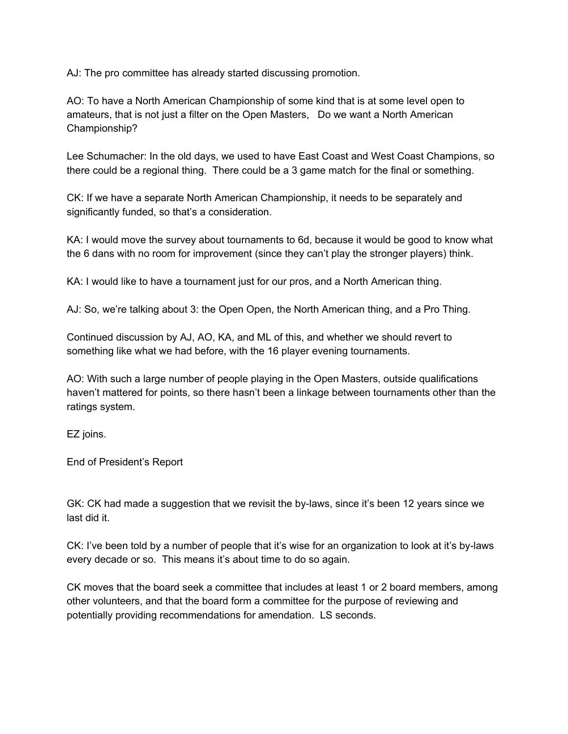AJ: The pro committee has already started discussing promotion.

AO: To have a North American Championship of some kind that is at some level open to amateurs, that is not just a filter on the Open Masters, Do we want a North American Championship?

Lee Schumacher: In the old days, we used to have East Coast and West Coast Champions, so there could be a regional thing. There could be a 3 game match for the final or something.

CK: If we have a separate North American Championship, it needs to be separately and significantly funded, so that's a consideration.

KA: I would move the survey about tournaments to 6d, because it would be good to know what the 6 dans with no room for improvement (since they can't play the stronger players) think.

KA: I would like to have a tournament just for our pros, and a North American thing.

AJ: So, we're talking about 3: the Open Open, the North American thing, and a Pro Thing.

Continued discussion by AJ, AO, KA, and ML of this, and whether we should revert to something like what we had before, with the 16 player evening tournaments.

AO: With such a large number of people playing in the Open Masters, outside qualifications haven't mattered for points, so there hasn't been a linkage between tournaments other than the ratings system.

EZ joins.

End of President's Report

GK: CK had made a suggestion that we revisit the by-laws, since it's been 12 years since we last did it.

CK: I've been told by a number of people that it's wise for an organization to look at it's by-laws every decade or so. This means it's about time to do so again.

CK moves that the board seek a committee that includes at least 1 or 2 board members, among other volunteers, and that the board form a committee for the purpose of reviewing and potentially providing recommendations for amendation. LS seconds.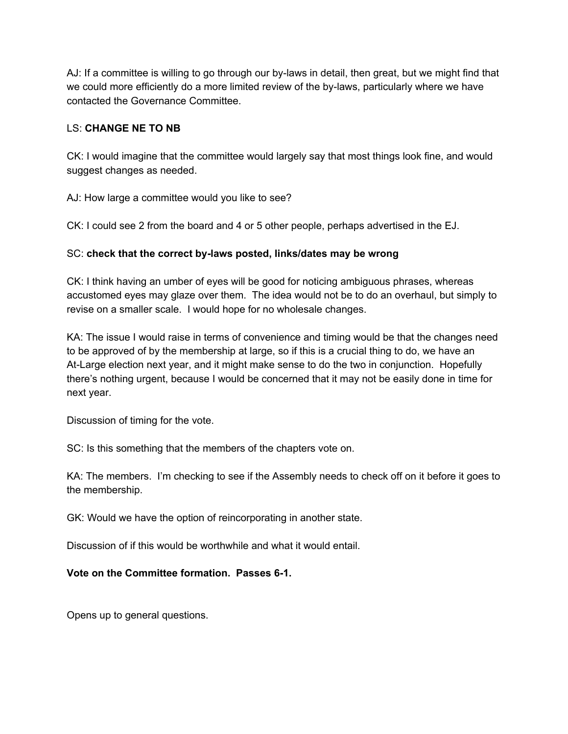AJ: If a committee is willing to go through our by-laws in detail, then great, but we might find that we could more efficiently do a more limited review of the by-laws, particularly where we have contacted the Governance Committee.

## LS: **CHANGE NE TO NB**

CK: I would imagine that the committee would largely say that most things look fine, and would suggest changes as needed.

AJ: How large a committee would you like to see?

CK: I could see 2 from the board and 4 or 5 other people, perhaps advertised in the EJ.

## SC: **check that the correct by-laws posted, links/dates may be wrong**

CK: I think having an umber of eyes will be good for noticing ambiguous phrases, whereas accustomed eyes may glaze over them. The idea would not be to do an overhaul, but simply to revise on a smaller scale. I would hope for no wholesale changes.

KA: The issue I would raise in terms of convenience and timing would be that the changes need to be approved of by the membership at large, so if this is a crucial thing to do, we have an At-Large election next year, and it might make sense to do the two in conjunction. Hopefully there's nothing urgent, because I would be concerned that it may not be easily done in time for next year.

Discussion of timing for the vote.

SC: Is this something that the members of the chapters vote on.

KA: The members. I'm checking to see if the Assembly needs to check off on it before it goes to the membership.

GK: Would we have the option of reincorporating in another state.

Discussion of if this would be worthwhile and what it would entail.

## **Vote on the Committee formation. Passes 6-1.**

Opens up to general questions.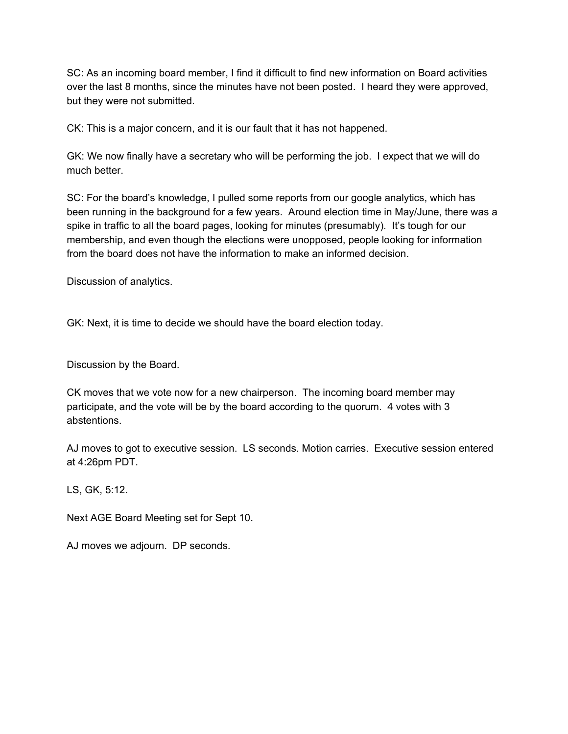SC: As an incoming board member, I find it difficult to find new information on Board activities over the last 8 months, since the minutes have not been posted. I heard they were approved, but they were not submitted.

CK: This is a major concern, and it is our fault that it has not happened.

GK: We now finally have a secretary who will be performing the job. I expect that we will do much better.

SC: For the board's knowledge, I pulled some reports from our google analytics, which has been running in the background for a few years. Around election time in May/June, there was a spike in traffic to all the board pages, looking for minutes (presumably). It's tough for our membership, and even though the elections were unopposed, people looking for information from the board does not have the information to make an informed decision.

Discussion of analytics.

GK: Next, it is time to decide we should have the board election today.

Discussion by the Board.

CK moves that we vote now for a new chairperson. The incoming board member may participate, and the vote will be by the board according to the quorum. 4 votes with 3 abstentions.

AJ moves to got to executive session. LS seconds. Motion carries. Executive session entered at 4:26pm PDT.

LS, GK, 5:12.

Next AGE Board Meeting set for Sept 10.

AJ moves we adjourn. DP seconds.